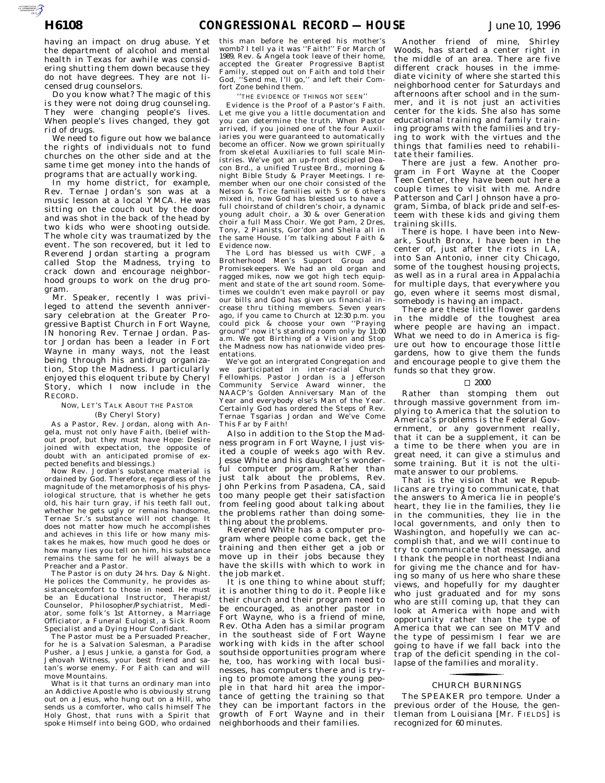AUTOROTOMICALE CONTINUES

having an impact on drug abuse. Yet the department of alcohol and mental health in Texas for awhile was considering shutting them down because they do not have degrees. They are not licensed drug counselors.

Do you know what? The magic of this is they were not doing drug counseling. They were changing people's lives. When people's lives changed, they got rid of drugs.

We need to figure out how we balance the rights of individuals not to fund churches on the other side and at the same time get money into the hands of programs that are actually working.

In my home district, for example, Rev. Ternae Jordan's son was at a music lesson at a local YMCA. He was sitting on the couch out by the door and was shot in the back of the head by two kids who were shooting outside. The whole city was traumatized by the event. The son recovered, but it led to Reverend Jordan starting a program called Stop the Madness, trying to crack down and encourage neighborhood groups to work on the drug program.

Mr. Speaker, recently I was privileged to attend the seventh anniversary celebration at the Greater Progressive Baptist Church in Fort Wayne, IN honoring Rev. Ternae Jordan. Pastor Jordan has been a leader in Fort Wayne in many ways, not the least being through his antidrug organization, Stop the Madness. I particularly enjoyed this eloquent tribute by Cheryl Story, which I now include in the RECORD.

#### NOW, LET'S TALK ABOUT THE PASTOR (By Cheryl Story)

As a Pastor, Rev. Jordan, along with Angela, must not only have Faith, (belief without proof, but they must have Hope: Desire joined with expectation, the opposite of doubt with an anticipated promise of ex-

pected benefits and blessings.) Now Rev. Jordan's substance material is ordained by God. Therefore, regardless of the magnitude of the metamorphosis of his physiological structure, that is whether he gets old, his hair turn gray, if his teeth fall out, whether he gets ugly or remains handsome, Ternae Sr.'s substance will not change. It does not matter how much he accomplishes and achieves in this life or how many mistakes he makes, how much good he does or how many lies you tell on him, his substance remains the same for he will always be a Preacher and a Pastor.

The Pastor is on duty 24 hrs. Day & Night. He polices the Community, he provides assistance/comfort to those in need. He must be an Educational Instructor, Therapist/ Counselor, Philosopher/Psychiatrist, Mediator, some folk's 1st Attorney, a Marriage Officiator, a Funeral Eulogist, a Sick Room Specialist and a Dying Hour Confidant.

The Pastor must be a Persuaded Preacher, for he is a Salvation Salesman, a Paradise Pusher, a Jesus Junkie, a gansta for God, a Jehovah Witness, your best friend and satan's worse enemy. For Faith can and will move Mountains.

What is it that turns an ordinary man into an Addictive Apostle who is obviously strung out on a Jesus, who hung out on a Hill, who sends us a comforter, who calls himself The Holy Ghost, that runs with a Spirit that spoke Himself into being GOD, who ordained

this man before he entered his mother's womb? I tell ya it was ''Faith!'' For March of 1989, Rev. & Angela took leave of their home, accepted the Greater Progressive Baptist Family, stepped out on Faith and told their God, ''Send me, I'll go,'' and left their Comfort Zone behind them.

### ''THE EVIDENCE OF THINGS NOT SEEN''

Evidence is the Proof of a Pastor's Faith. Let me give you a little documentation and you can determine the truth. When Pastor arrived, if you joined one of the four Auxiliaries you were guaranteed to automatically become an officer. Now we grown spiritually from skeletal Auxiliaries to full scale Ministries. We've got an up-front discipled Deacon Brd., a unified Trustee Brd., morning & night Bible Study & Prayer Meetings. I remember when our one choir consisted of the Nelson & Trice families with 5 or 6 others mixed in, now God has blessed us to have a full choirstand of children's choir, a dynamic young adult choir, a 30 & over Generation choir a full Mass Choir. We got Pam, 2 Dres, Tony, 2 Pianists, Gor'don and Sheila all in the same House. I'm talking about Faith & Evidence now.

The Lord has blessed us with CWF, a Brotherhood Men's Support Group and Promisekeepers. We had an old organ and ragged mikes, now we got high tech equipment and state of the art sound room. Sometimes we couldn't even make payroll or pay our bills and God has given us financial increase thru tithing members. Seven years ago, if you came to Church at 12:30 p.m. you could pick & choose your own ''Praying ground'' now it's standing room only by 11:00 a.m. We got Birthing of a Vision and Stop the Madness now has nationwide video presentations.

We've got an intergrated Congregation and we participated in inter-racial Church Fellowhips. Pastor Jordan is a Jefferson Community Service Award winner, the NAACP's Golden Anniversary Man of the Year and everybody else's Man of the Year. Certainly God has ordered the Steps of Rev. Ternae Tsgarias Jordan and We've Come This Far by Faith!

Also in addition to the Stop the Madness program in Fort Wayne, I just visited a couple of weeks ago with Rev. Jesse White and his daughter's wonderful computer program. Rather than just talk about the problems, Rev. John Perkins from Pasadena, CA, said too many people get their satisfaction from feeling good about talking about the problems rather than doing something about the problems.

Reverend White has a computer program where people come back, get the training and then either get a job or move up in their jobs because they have the skills with which to work in the job market.

It is one thing to whine about stuff; it is another thing to do it. People like their church and their program need to be encouraged, as another pastor in Fort Wayne, who is a friend of mine, Rev. Otha Aden has a similar program in the southeast side of Fort Wayne working with kids in the after school southside opportunities program where he, too, has working with local businesses, has computers there and is trying to promote among the young people in that hard hit area the importance of getting the training so that they can be important factors in the growth of Fort Wayne and in their neighborhoods and their families.

Another friend of mine, Shirley Woods, has started a center right in the middle of an area. There are five different crack houses in the immediate vicinity of where she started this neighborhood center for Saturdays and afternoons after school and in the summer, and it is not just an activities center for the kids. She also has some educational training and family training programs with the families and trying to work with the virtues and the things that families need to rehabilitate their families.

There are just a few. Another program in Fort Wayne at the Cooper Teen Center, they have been out here a couple times to visit with me. Andre Patterson and Carl Johnson have a program, Simba, of black pride and self-esteem with these kids and giving them training skills.

There is hope. I have been into Newark, South Bronx, I have been in the center of, just after the riots in LA, into San Antonio, inner city Chicago, some of the toughest housing projects, as well as in a rural area in Appalachia for multiple days, that everywhere you go, even where it seems most dismal, somebody is having an impact.

There are these little flower gardens in the middle of the toughest area where people are having an impact. What we need to do in America is figure out how to encourage those little gardens, how to give them the funds and encourage people to give them the funds so that they grow.

#### $\Box$  2000

Rather than stomping them out through massive government from implying to America that the solution to America's problems is the Federal Government, or any government really, that it can be a supplement, it can be a time to be there when you are in great need, it can give a stimulus and some training. But it is not the ultimate answer to our problems.

That is the vision that we Republicans are trying to communicate, that the answers to America lie in people's heart, they lie in the families, they lie in the communities, they lie in the local governments, and only then to Washington, and hopefully we can accomplish that, and we will continue to try to communicate that message, and I thank the people in northeast Indiana for giving me the chance and for having so many of us here who share these views, and hopefully for my daughter who just graduated and for my sons who are still coming up, that they can look at America with hope and with opportunity rather than the type of America that we can see on MTV and the type of pessimism I fear we are going to have if we fall back into the trap of the deficit spending in the collapse of the families and morality.

## CHURCH BURNINGS for the control of the control of

The SPEAKER pro tempore. Under a previous order of the House, the gentleman from Louisiana [Mr. FIELDS] is recognized for 60 minutes.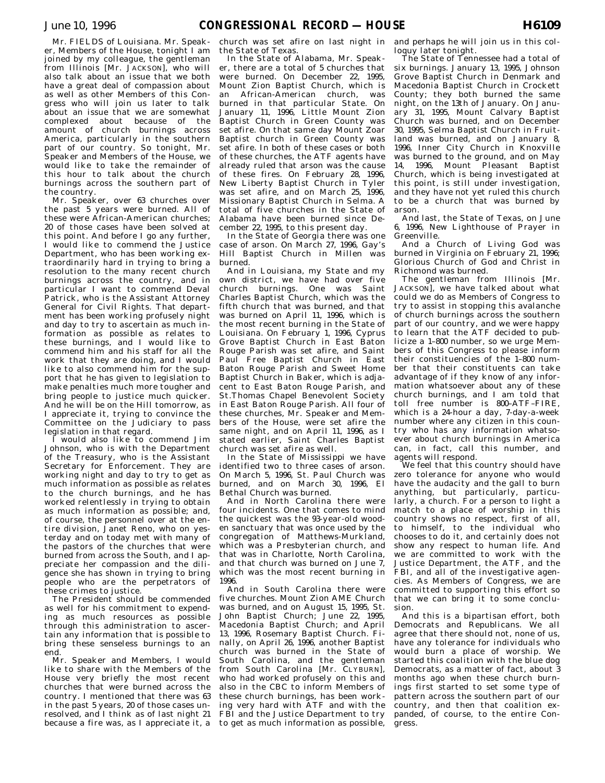Mr. FIELDS of Louisiana. Mr. Speaker, Members of the House, tonight I am joined by my colleague, the gentleman from Illinois [Mr. JACKSON], who will also talk about an issue that we both have a great deal of compassion about as well as other Members of this Congress who will join us later to talk about an issue that we are somewhat complexed about because of the amount of church burnings across America, particularly in the southern part of our country. So tonight, Mr. Speaker and Members of the House, we would like to take the remainder of this hour to talk about the church burnings across the southern part of the country.

Mr. Speaker, over 63 churches over the past 5 years were burned. All of these were African-American churches; 20 of those cases have been solved at this point. And before I go any further, I would like to commend the Justice Department, who has been working extraordinarily hard in trying to bring a resolution to the many recent church burnings across the country, and in particular I want to commend Deval Patrick, who is the Assistant Attorney General for Civil Rights. That department has been working profusely night and day to try to ascertain as much information as possible as relates to these burnings, and I would like to commend him and his staff for all the work that they are doing, and I would like to also commend him for the support that he has given to legislation to make penalties much more tougher and bring people to justice much quicker. And he will be on the Hill tomorrow, as I appreciate it, trying to convince the Committee on the Judiciary to pass legislation in that regard.

I would also like to commend Jim Johnson, who is with the Department of the Treasury, who is the Assistant Secretary for Enforcement. They are working night and day to try to get as much information as possible as relates to the church burnings, and he has worked relentlessly in trying to obtain as much information as possible; and, of course, the personnel over at the entire division, Janet Reno, who on yesterday and on today met with many of the pastors of the churches that were burned from across the South, and I appreciate her compassion and the diligence she has shown in trying to bring people who are the perpetrators of these crimes to justice.

The President should be commended as well for his commitment to expending as much resources as possible through this administration to ascertain any information that is possible to bring these senseless burnings to an end.

Mr. Speaker and Members, I would like to share with the Members of the House very briefly the most recent churches that were burned across the country. I mentioned that there was 63 in the past 5 years, 20 of those cases unresolved, and I think as of last night 21 because a fire was, as I appreciate it, a

church was set afire on last night in the State of Texas.

In the State of Alabama, Mr. Speaker, there are a total of 5 churches that were burned. On December 22, 1995, Mount Zion Baptist Church, which is an African-American church, was burned in that particular State. On January 11, 1996, Little Mount Zion Baptist Church in Green County was set afire. On that same day Mount Zoar Baptist church in Green County was set afire. In both of these cases or both of these churches, the ATF agents have already ruled that arson was the cause of these fires. On February 28, 1996, New Liberty Baptist Church in Tyler was set afire, and on March 25, 1996, Missionary Baptist Church in Selma. A total of five churches in the State of Alabama have been burned since December 22, 1995, to this present day.

In the State of Georgia there was one case of arson. On March 27, 1996, Gay's Hill Baptist Church in Millen was burned.

And in Louisiana, my State and my own district, we have had over five church burnings. One was Saint Charles Baptist Church, which was the fifth church that was burned, and that was burned on April 11, 1996, which is the most recent burning in the State of Louisiana. On February 1, 1996, Cyprus Grove Baptist Church in East Baton Rouge Parish was set afire, and Saint Paul Free Baptist Church in East Baton Rouge Parish and Sweet Home Baptist Church in Baker, which is adjacent to East Baton Rouge Parish, and St.Thomas Chapel Benevolent Society in East Baton Rouge Parish. All four of these churches, Mr. Speaker and Members of the House, were set afire the same night, and on April 11, 1996, as I stated earlier, Saint Charles Baptist church was set afire as well.

In the State of Mississippi we have identified two to three cases of arson. On March 5, 1996, St. Paul Church was burned, and on March 30, 1996, El Bethal Church was burned.

And in North Carolina there were four incidents. One that comes to mind the quickest was the 93-year-old wooden sanctuary that was once used by the congregation of Matthews-Murkland, which was a Presbyterian church, and that was in Charlotte, North Carolina, and that church was burned on June 7, which was the most recent burning in 1996.

And in South Carolina there were five churches. Mount Zion AME Church was burned, and on August 15, 1995, St. John Baptist Church; June 22, 1995, Macedonia Baptist Church; and April 13, 1996, Rosemary Baptist Church. Finally, on April 26, 1996, another Baptist church was burned in the State of South Carolina, and the gentleman from South Carolina [Mr. CLYBURN], who had worked profusely on this and also in the CBC to inform Members of these church burnings, has been working very hard with ATF and with the FBI and the Justice Department to try to get as much information as possible,

and perhaps he will join us in this colloquy later tonight.

The State of Tennessee had a total of six burnings. January 13, 1995, Johnson Grove Baptist Church in Denmark and Macedonia Baptist Church in Crockett County; they both burned the same night, on the 13th of January. On January 31, 1995, Mount Calvary Baptist Church was burned, and on December 30, 1995, Selma Baptist Church in Fruitland was burned, and on January 8. 1996, Inner City Church in Knoxville was burned to the ground, and on May 14, 1996, Mount Pleasant Baptist Church, which is being investigated at this point, is still under investigation, and they have not yet ruled this church to be a church that was burned by arson.

And last, the State of Texas, on June 6, 1996, New Lighthouse of Prayer in Greenville.

And a Church of Living God was burned in Virginia on February 21, 1996; Glorious Church of God and Christ in Richmond was burned.

The gentleman from Illinois [Mr. JACKSON], we have talked about what could we do as Members of Congress to try to assist in stopping this avalanche of church burnings across the southern part of our country, and we were happy to learn that the ATF decided to publicize a 1–800 number, so we urge Members of this Congress to please inform their constituencies of the 1–800 number that their constituents can take advantage of if they know of any information whatsoever about any of these church burnings, and I am told that toll free number is 800–ATF–FIRE, which is a 24-hour a day, 7-day-a-week number where any citizen in this country who has any information whatsoever about church burnings in America can, in fact, call this number, and agents will respond.

We feel that this country should have  $\,$ zero tolerance for anyone who would have the audacity and the gall to burn anything, but particularly, particularly, a church. For a person to light a match to a place of worship in this country shows no respect, first of all, to himself, to the individual who chooses to do it, and certainly does not show any respect to human life. And we are committed to work with the Justice Department, the ATF, and the FBI, and all of the investigative agencies. As Members of Congress, we are committed to supporting this effort so that we can bring it to some conclusion.

And this is a bipartisan effort, both Democrats and Republicans. We all agree that there should not, none of us, have any tolerance for individuals who would burn a place of worship. We started this coalition with the blue dog Democrats, as a matter of fact, about 3 months ago when these church burnings first started to set some type of pattern across the southern part of our country, and then that coalition expanded, of course, to the entire Congress.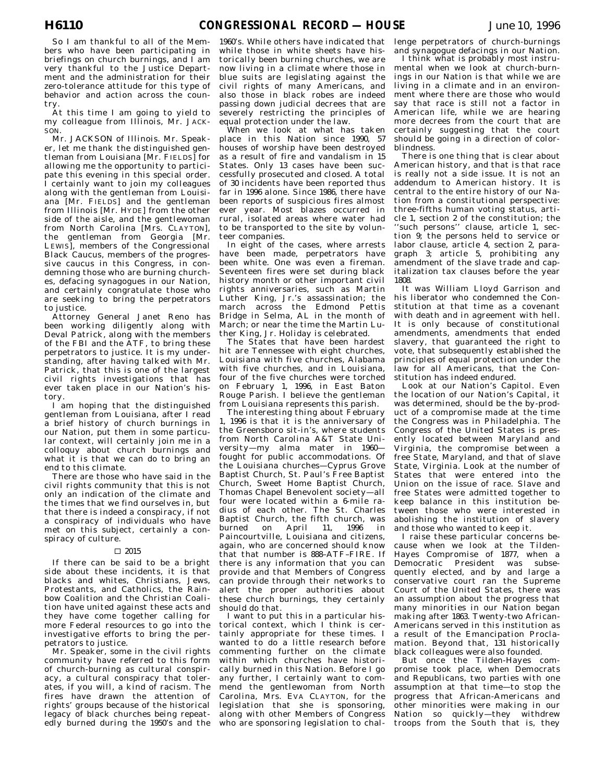So I am thankful to all of the Members who have been participating in briefings on church burnings, and  $\overline{I}$  am very thankful to the Justice Department and the administration for their zero-tolerance attitude for this type of behavior and action across the country.

At this time I am going to yield to my colleague from Illinois, Mr. JACK-SON.

Mr. JACKSON of Illinois. Mr. Speaker, let me thank the distinguished gentleman from Louisiana [Mr. FIELDS] for allowing me the opportunity to participate this evening in this special order. I certainly want to join my colleagues along with the gentleman from Louisiana [Mr. FIELDS] and the gentleman from Illinois [Mr. HYDE] from the other side of the aisle, and the gentlewoman from North Carolina [Mrs. CLAYTON], the gentleman from Georgia [Mr. LEWIS], members of the Congressional Black Caucus, members of the progressive caucus in this Congress, in condemning those who are burning churches, defacing synagogues in our Nation, and certainly congratulate those who are seeking to bring the perpetrators to justice.

Attorney General Janet Reno has been working diligently along with Deval Patrick, along with the members of the FBI and the ATF, to bring these perpetrators to justice. It is my understanding, after having talked with Mr. Patrick, that this is one of the largest civil rights investigations that has ever taken place in our Nation's history.

I am hoping that the distinguished gentleman from Louisiana, after I read a brief history of church burnings in our Nation, put them in some particular context, will certainly join me in a colloquy about church burnings and what it is that we can do to bring an end to this climate.

There are those who have said in the civil rights community that this is not only an indication of the climate and the times that we find ourselves in, but that there is indeed a conspiracy, if not a conspiracy of individuals who have met on this subject, certainly a conspiracy of culture.

#### $\square$  2015

If there can be said to be a bright side about these incidents, it is that blacks and whites, Christians, Jews, Protestants, and Catholics, the Rainbow Coalition and the Christian Coalition have united against these acts and they have come together calling for more Federal resources to go into the investigative efforts to bring the perpetrators to justice.

Mr. Speaker, some in the civil rights community have referred to this form of church-burning as cultural conspiracy, a cultural conspiracy that tolerates, if you will, a kind of racism. The fires have drawn the attention of rights' groups because of the historical legacy of black churches being repeatedly burned during the 1950's and the

1960's. While others have indicated that while those in white sheets have historically been burning churches, we are now living in a climate where those in blue suits are legislating against the civil rights of many Americans, and also those in black robes are indeed passing down judicial decrees that are severely restricting the principles of equal protection under the law.

When we look at what has taken place in this Nation since 1990, 57 houses of worship have been destroyed as a result of fire and vandalism in 15 States. Only 13 cases have been successfully prosecuted and closed. A total of 30 incidents have been reported thus far in 1996 alone. Since 1986, there have been reports of suspicious fires almost ever year. Most blazes occurred in rural, isolated areas where water had to be transported to the site by volunteer companies.

In eight of the cases, where arrests have been made, perpetrators have been white. One was even a fireman. Seventeen fires were set during black history month or other important civil rights anniversaries, such as Martin Luther King, Jr.'s assassination; the march across the Edmond Pettis Bridge in Selma, AL in the month of March; or near the time the Martin Luther King, Jr. Holiday is celebrated.

The States that have been hardest hit are Tennessee with eight churches, Louisiana with five churches, Alabama with five churches, and in Louisiana, four of the five churches were torched on February 1, 1996, in East Baton Rouge Parish. I believe the gentleman from Louisiana represents this parish.

The interesting thing about February 1, 1996 is that it is the anniversary of the Greensboro sit-in's, where students from North Carolina A&T State University—my alma mater in 1960 fought for public accommodations. Of the Louisiana churches—Cyprus Grove Baptist Church, St. Paul's Free Baptist Church, Sweet Home Baptist Church, Thomas Chapel Benevolent society—all four were located within a 6-mile radius of each other. The St. Charles Baptist Church, the fifth church, was<br>burned on April 11, 1996 in on April 11, 1996 in Paincourtville, Louisiana and citizens, again, who are concerned should know that that number is 888–ATF–FIRE. If there is any information that you can provide and that Members of Congress can provide through their networks to alert the proper authorities about these church burnings, they certainly should do that.

I want to put this in a particular historical context, which I think is certainly appropriate for these times. I wanted to do a little research before commenting further on the climate within which churches have historically burned in this Nation. Before I go any further, I certainly want to commend the gentlewoman from North Carolina, Mrs. EVA CLAYTON, for the legislation that she is sponsoring, along with other Members of Congress who are sponsoring legislation to chal-

lenge perpetrators of church-burnings and synagogue defacings in our Nation.

I think what is probably most instrumental when we look at church-burnings in our Nation is that while we are living in a climate and in an environment where there are those who would say that race is still not a factor in American life, while we are hearing more decrees from the court that are certainly suggesting that the court should be going in a direction of colorblindness.

There is one thing that is clear about American history, and that is that race is really not a side issue. It is not an addendum to American history. It is central to the entire history of our Nation from a constitutional perspective: three-fifths human voting status, article 1, section 2 of the constitution; the ''such persons'' clause, article 1, section 9; the persons held to service or labor clause, article 4, section 2, paragraph 3; article 5, prohibiting any amendment of the slave trade and capitalization tax clauses before the year 1808.

It was William Lloyd Garrison and his liberator who condemned the Constitution at that time as a covenant with death and in agreement with hell. It is only because of constitutional amendments, amendments that ended slavery, that guaranteed the right to vote, that subsequently established the principles of equal protection under the law for all Americans, that the Constitution has indeed endured.

Look at our Nation's Capitol. Even the location of our Nation's Capital, it was determined, should be the by-product of a compromise made at the time the Congress was in Philadelphia. The Congress of the United States is presently located between Maryland and Virginia, the compromise between a free State, Maryland, and that of slave State, Virginia. Look at the number of States that were entered into the Union on the issue of race. Slave and free States were admitted together to keep balance in this institution between those who were interested in abolishing the institution of slavery and those who wanted to keep it.

I raise these particular concerns because when we look at the Tilden-Hayes Compromise of 1877, when a Democratic President was subsequently elected, and by and large a conservative court ran the Supreme Court of the United States, there was an assumption about the progress that many minorities in our Nation began making after 1863. Twenty-two African-Americans served in this institution as a result of the Emancipation Proclamation. Beyond that, 131 historically black colleagues were also founded.

But once the Tilden-Hayes compromise took place, when Democrats and Republicans, two parties with one assumption at that time—to stop the progress that African-Americans and other minorities were making in our Nation so quickly—they withdrew troops from the South that is, they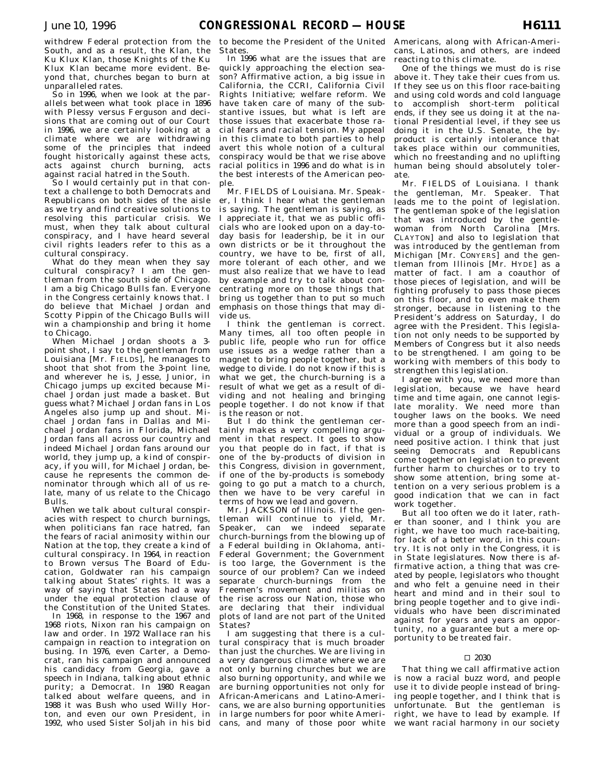withdrew Federal protection from the South, and as a result, the Klan, the Ku Klux Klan, those Knights of the Ku Klux Klan became more evident. Beyond that, churches began to burn at unparalleled rates.

So in 1996, when we look at the parallels between what took place in 1896 with Plessy versus Ferguson and decisions that are coming out of our Court in 1996, we are certainly looking at a climate where we are withdrawing some of the principles that indeed fought historically against these acts, acts against church burning, acts against racial hatred in the South.

So I would certainly put in that context a challenge to both Democrats and Republicans on both sides of the aisle as we try and find creative solutions to resolving this particular crisis. We must, when they talk about cultural conspiracy, and I have heard several civil rights leaders refer to this as a cultural conspiracy.

What do they mean when they say cultural conspiracy? I am the gentleman from the south side of Chicago. I am a big Chicago Bulls fan. Everyone in the Congress certainly knows that. I do believe that Michael Jordan and Scotty Pippin of the Chicago Bulls will win a championship and bring it home to Chicago.

When Michael Jordan shoots a 3 point shot, I say to the gentleman from Louisiana [Mr. FIELDS], he manages to shoot that shot from the 3-point line, and wherever he is, Jesse, Junior, in Chicago jumps up excited because Michael Jordan just made a basket. But guess what? Michael Jordan fans in Los Angeles also jump up and shout. Michael Jordan fans in Dallas and Michael Jordan fans in Florida, Michael Jordan fans all across our country and indeed Michael Jordan fans around our world, they jump up, a kind of conspiracy, if you will, for Michael Jordan, because he represents the common denominator through which all of us relate, many of us relate to the Chicago Bulls.

When we talk about cultural conspiracies with respect to church burnings, when politicians fan race hatred, fan the fears of racial animosity within our Nation at the top, they create a kind of cultural conspiracy. In 1964, in reaction to Brown versus The Board of Education, Goldwater ran his campaign talking about States' rights. It was a way of saying that States had a way under the equal protection clause of the Constitution of the United States.

In 1968, in response to the 1967 and 1968 riots, Nixon ran his campaign on law and order. In 1972 Wallace ran his campaign in reaction to integration on busing. In 1976, even Carter, a Democrat, ran his campaign and announced his candidacy from Georgia, gave a speech in Indiana, talking about ethnic purity; a Democrat. In 1980 Reagan talked about welfare queens, and in 1988 it was Bush who used Willy Horton, and even our own President, in 1992, who used Sister Soljah in his bid

to become the President of the United States.

In 1996 what are the issues that are quickly approaching the election season? Affirmative action, a big issue in California, the CCRI, California Civil Rights Initiative; welfare reform. We have taken care of many of the substantive issues, but what is left are those issues that exacerbate those racial fears and racial tension. My appeal in this climate to both parties to help avert this whole notion of a cultural conspiracy would be that we rise above racial politics in 1996 and do what is in the best interests of the American people.

Mr. FIELDS of Louisiana. Mr. Speaker, I think I hear what the gentleman is saying. The gentleman is saying, as I appreciate it, that we as public officials who are looked upon on a day-today basis for leadership, be it in our own districts or be it throughout the country, we have to be, first of all, more tolerant of each other, and we must also realize that we have to lead by example and try to talk about concentrating more on those things that bring us together than to put so much emphasis on those things that may divide us.

I think the gentleman is correct. Many times, all too often people in public life, people who run for office use issues as a wedge rather than a magnet to bring people together, but a wedge to divide. I do not know if this is what we get, the church-burning is a result of what we get as a result of dividing and not healing and bringing people together. I do not know if that is the reason or not.

But I do think the gentleman certainly makes a very compelling argument in that respect. It goes to show you that people do in fact, if that is one of the by-products of division in this Congress, division in government, if one of the by-products is somebody going to go put a match to a church, then we have to be very careful in terms of how we lead and govern.

Mr. JACKSON of Illinois. If the gentleman will continue to yield, Mr. Speaker, can we indeed separate church-burnings from the blowing up of a Federal building in Oklahoma, anti-Federal Government; the Government is too large, the Government is the source of our problem? Can we indeed separate church-burnings from the Freemen's movement and militias on the rise across our Nation, those who are declaring that their individual plots of land are not part of the United States?

I am suggesting that there is a cultural conspiracy that is much broader than just the churches. We are living in a very dangerous climate where we are not only burning churches but we are also burning opportunity, and while we are burning opportunities not only for African-Americans and Latino-Americans, we are also burning opportunities in large numbers for poor white Americans, and many of those poor white

Americans, along with African-Americans, Latinos, and others, are indeed reacting to this climate.

One of the things we must do is rise above it. They take their cues from us. If they see us on this floor race-baiting and using cold words and cold language to accomplish short-term political ends, if they see us doing it at the national Presidential level, if they see us doing it in the U.S. Senate, the byproduct is certainly intolerance that takes place within our communities, which no freestanding and no uplifting human being should absolutely tolerate.

Mr. FIELDS of Louisiana. I thank the gentleman, Mr. Speaker. That leads me to the point of legislation. The gentleman spoke of the legislation that was introduced by the gentlewoman from North Carolina [Mrs. CLAYTON] and also to legislation that was introduced by the gentleman from Michigan [Mr. CONYERS] and the gentleman from Illinois [Mr. HYDE] as a matter of fact. I am a coauthor of those pieces of legislation, and will be fighting profusely to pass those pieces on this floor, and to even make them stronger, because in listening to the President's address on Saturday, I do agree with the President. This legislation not only needs to be supported by Members of Congress but it also needs to be strengthened. I am going to be working with members of this body to strengthen this legislation.

I agree with you, we need more than legislation, because we have heard time and time again, one cannot legislate morality. We need more than tougher laws on the books. We need more than a good speech from an individual or a group of individuals. We need positive action. I think that just seeing Democrats and Republicans come together on legislation to prevent further harm to churches or to try to show some attention, bring some attention on a very serious problem is a good indication that we can in fact work together.

But all too often we do it later, rather than sooner, and I think you are right, we have too much race-baiting, for lack of a better word, in this country. It is not only in the Congress, it is in State legislatures. Now there is affirmative action, a thing that was created by people, legislators who thought and who felt a genuine need in their heart and mind and in their soul to bring people together and to give individuals who have been discriminated against for years and years an opportunity, no a guarantee but a mere opportunity to be treated fair.

## $\square$  2030

That thing we call affirmative action is now a racial buzz word, and people use it to divide people instead of bringing people together, and I think that is unfortunate. But the gentleman is right, we have to lead by example. If we want racial harmony in our society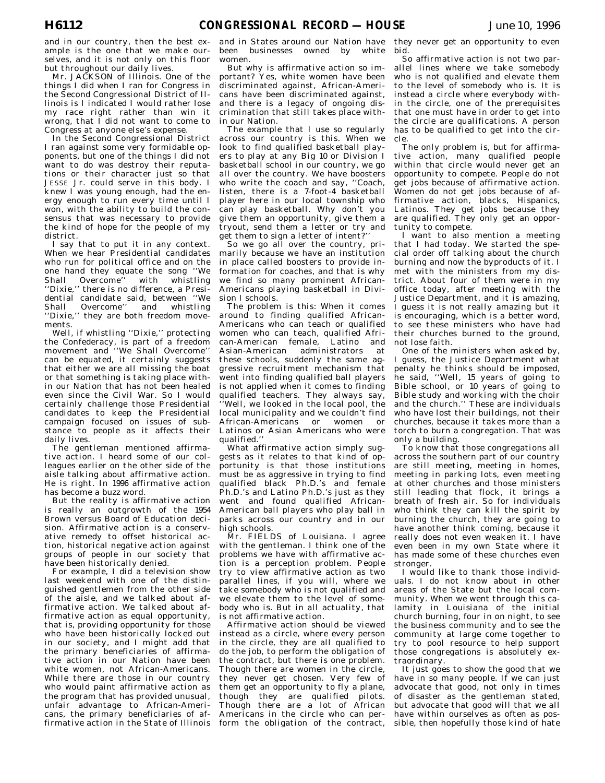and in our country, then the best example is the one that we make ourselves, and it is not only on this floor but throughout our daily lives.

Mr. JACKSON of Illinois. One of the things I did when I ran for Congress in the Second Congressional District of Illinois is I indicated I would rather lose my race right rather than win it wrong, that I did not want to come to Congress at anyone else's expense.

In the Second Congressional District I ran against some very formidable opponents, but one of the things I did not want to do was destroy their reputations or their character just so that JESSE Jr. could serve in this body. I knew I was young enough, had the energy enough to run every time until I won, with the ability to build the consensus that was necessary to provide the kind of hope for the people of my district.

I say that to put it in any context. When we hear Presidential candidates who run for political office and on the one hand they equate the song ''We Shall Overcome" with whistling ''Dixie,'' there is no difference, a Presidential candidate said, between ''We Shall Overcome'' and whistling ''Dixie,'' they are both freedom movements.

Well, if whistling ''Dixie,'' protecting the Confederacy, is part of a freedom movement and ''We Shall Overcome'' can be equated, it certainly suggests that either we are all missing the boat or that something is taking place within our Nation that has not been healed even since the Civil War. So I would certainly challenge those Presidential candidates to keep the Presidential campaign focused on issues of substance to people as it affects their daily lives.

The gentleman mentioned affirmative action. I heard some of our colleagues earlier on the other side of the aisle talking about affirmative action. He is right. In 1996 affirmative action has become a buzz word.

But the reality is affirmative action is really an outgrowth of the 1954 Brown versus Board of Education decision. Affirmative action is a conservative remedy to offset historical action, historical negative action against groups of people in our society that have been historically denied.

For example, I did a television show last weekend with one of the distinguished gentlemen from the other side of the aisle, and we talked about affirmative action. We talked about affirmative action as equal opportunity, that is, providing opportunity for those who have been historically locked out in our society, and I might add that the primary beneficiaries of affirmative action in our Nation have been white women, not African-Americans. While there are those in our country who would paint affirmative action as the program that has provided unusual, unfair advantage to African-Americans, the primary beneficiaries of affirmative action in the State of Illinois

and in States around our Nation have been businesses owned by white women.

But why is affirmative action so important? Yes, white women have been discriminated against, African-Americans have been discriminated against, and there is a legacy of ongoing discrimination that still takes place within our Nation.

The example that I use so regularly across our country is this. When we look to find qualified basketball players to play at any Big 10 or Division I basketball school in our country, we go all over the country. We have boosters who write the coach and say, ''Coach, listen, there is a 7-foot-4 basketball player here in our local township who can play basketball. Why don't you give them an opportunity, give them a tryout, send them a letter or try and get them to sign a letter of intent?

So we go all over the country, primarily because we have an institution in place called boosters to provide information for coaches, and that is why we find so many prominent African-Americans playing basketball in Division I schools.

The problem is this: When it comes around to finding qualified African-Americans who can teach or qualified women who can teach, qualified African-American female, Latino and Asian-American administrators at these schools, suddenly the same aggressive recruitment mechanism that went into finding qualified ball players is not applied when it comes to finding qualified teachers. They always say, Well, we looked in the local pool, the local municipality and we couldn't find African-Americans or women or Latinos or Asian Americans who were qualified.''

What affirmative action simply suggests as it relates to that kind of opportunity is that those institutions must be as aggressive in trying to find qualified black Ph.D.'s and female Ph.D.'s and Latino Ph.D.'s just as they went and found qualified African-American ball players who play ball in parks across our country and in our high schools.

Mr. FIELDS of Louisiana. I agree with the gentleman. I think one of the problems we have with affirmative action is a perception problem. People try to view affirmative action as two parallel lines, if you will, where we take somebody who is not qualified and we elevate them to the level of somebody who is. But in all actuality, that is not affirmative action.

Affirmative action should be viewed instead as a circle, where every person in the circle, they are all qualified to do the job, to perform the obligation of the contract, but there is one problem. Though there are women in the circle, they never get chosen. Very few of them get an opportunity to fly a plane, though they are qualified pilots. Though there are a lot of African Americans in the circle who can perform the obligation of the contract,

they never get an opportunity to even bid.

So affirmative action is not two parallel lines where we take somebody who is not qualified and elevate them to the level of somebody who is. It is instead a circle where everybody within the circle, one of the prerequisites that one must have in order to get into the circle are qualifications.  $\overrightarrow{A}$  person has to be qualified to get into the circle.

The only problem is, but for affirmative action, many qualified people within that circle would never get an opportunity to compete. People do not get jobs because of affirmative action. Women do not get jobs because of affirmative action, blacks, Hispanics, Latinos. They get jobs because they are qualified. They only get an opportunity to compete.

I want to also mention a meeting that I had today. We started the special order off talking about the church burning and now the byproducts of it. I met with the ministers from my district. About four of them were in my office today, after meeting with the Justice Department, and it is amazing, I guess it is not really amazing but it is encouraging, which is a better word, to see these ministers who have had their churches burned to the ground, not lose faith.

One of the ministers when asked by, I guess, the Justice Department what penalty he thinks should be imposed, he said, ''Well, 15 years of going to Bible school, or 10 years of going to Bible study and working with the choir and the church.'' These are individuals who have lost their buildings, not their churches, because it takes more than a torch to burn a congregation. That was only a building.

To know that those congregations all across the southern part of our country are still meeting, meeting in homes, meeting in parking lots, even meeting at other churches and those ministers still leading that flock, it brings a breath of fresh air. So for individuals who think they can kill the spirit by burning the church, they are going to have another think coming, because it really does not even weaken it. I have even been in my own State where it has made some of these churches even stronger.

I would like to thank those individuals. I do not know about in other areas of the State but the local community. When we went through this calamity in Louisiana of the initial church burning, four in on night, to see the business community and to see the community at large come together to try to pool resource to help support those congregations is absolutely extraordinary.

It just goes to show the good that we have in so many people. If we can just advocate that good, not only in times of disaster as the gentleman stated, but advocate that good will that we all have within ourselves as often as possible, then hopefully those kind of hate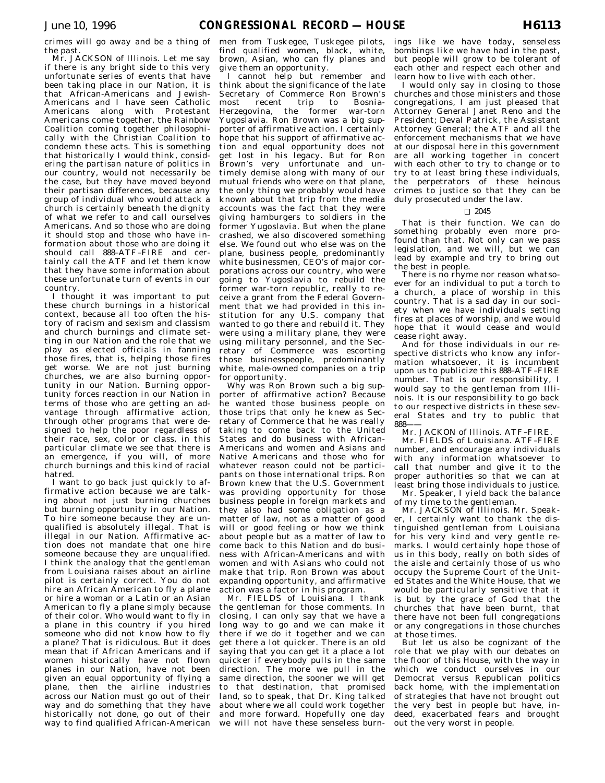crimes will go away and be a thing of the past.

Mr. JACKSON of Illinois. Let me say if there is any bright side to this very unfortunate series of events that have been taking place in our Nation, it is that African-Americans and Jewish-Americans and I have seen Catholic Americans along with Protestant Americans come together, the Rainbow Coalition coming together philosophically with the Christian Coalition to condemn these acts. This is something that historically I would think, considering the partisan nature of politics in our country, would not necessarily be the case, but they have moved beyond their partisan differences, because any group of individual who would attack a church is certainly beneath the dignity of what we refer to and call ourselves Americans. And so those who are doing it should stop and those who have information about those who are doing it should call 888–ATF–FIRE and certainly call the ATF and let them know that they have some information about these unfortunate turn of events in our country.

I thought it was important to put these church burnings in a historical context, because all too often the history of racism and sexism and classism and church burnings and climate setting in our Nation and the role that we play as elected officials in fanning those fires, that is, helping those fires get worse. We are not just burning churches, we are also burning opportunity in our Nation. Burning opportunity forces reaction in our Nation in terms of those who are getting an advantage through affirmative action, through other programs that were designed to help the poor regardless of their race, sex, color or class, in this particular climate we see that there is an emergence, if you will, of more church burnings and this kind of racial hatred.

I want to go back just quickly to affirmative action because we are talking about not just burning churches but burning opportunity in our Nation. To hire someone because they are unqualified is absolutely illegal. That is illegal in our Nation. Affirmative action does not mandate that one hire someone because they are unqualified. I think the analogy that the gentleman from Louisiana raises about an airline pilot is certainly correct. You do not hire an African American to fly a plane or hire a woman or a Latin or an Asian American to fly a plane simply because of their color. Who would want to fly in a plane in this country if you hired someone who did not know how to fly a plane? That is ridiculous. But it does mean that if African Americans and if women historically have not flown planes in our Nation, have not been given an equal opportunity of flying a plane, then the airline industries across our Nation must go out of their way and do something that they have historically not done, go out of their way to find qualified African-American

men from Tuskegee, Tuskegee pilots, find qualified women, black, white, brown, Asian, who can fly planes and give them an opportunity.

I cannot help but remember and think about the significance of the late Secretary of Commerce Ron Brown's<br>most recent trip to Bosniamost recent trip to Herzegovina, the former war-torn Yugoslavia. Ron Brown was a big supporter of affirmative action. I certainly hope that his support of affirmative action and equal opportunity does not get lost in his legacy. But for Ron Brown's very unfortunate and untimely demise along with many of our mutual friends who were on that plane, the only thing we probably would have known about that trip from the media accounts was the fact that they were giving hamburgers to soldiers in the former Yugoslavia. But when the plane crashed, we also discovered something else. We found out who else was on the plane, business people, predominantly white businessmen, CEO's of major corporations across our country, who were going to Yugoslavia to rebuild the former war-torn republic, really to receive a grant from the Federal Government that we had provided in this institution for any U.S. company that wanted to go there and rebuild it. They were using a military plane, they were using military personnel, and the Secretary of Commerce was escorting those businesspeople, predominantly white, male-owned companies on a trip for opportunity.

Why was Ron Brown such a big supporter of affirmative action? Because he wanted those business people on those trips that only he knew as Secretary of Commerce that he was really taking to come back to the United States and do business with African-Americans and women and Asians and Native Americans and those who for whatever reason could not be participants on those international trips. Ron Brown knew that the U.S. Government was providing opportunity for those business people in foreign markets and they also had some obligation as a matter of law, not as a matter of good will or good feeling or how we think about people but as a matter of law to come back to this Nation and do business with African-Americans and with women and with Asians who could not make that trip. Ron Brown was about expanding opportunity, and affirmative action was a factor in his program.

Mr. FIELDS of Louisiana. I thank the gentleman for those comments. In closing, I can only say that we have a long way to go and we can make it there if we do it together and we can get there a lot quicker. There is an old saying that you can get it a place a lot quicker if everybody pulls in the same direction. The more we pull in the same direction, the sooner we will get to that destination, that promised land, so to speak, that Dr. King talked about where we all could work together and more forward. Hopefully one day we will not have these senseless burn-

ings like we have today, senseless bombings like we have had in the past, but people will grow to be tolerant of each other and respect each other and learn how to live with each other.

I would only say in closing to those churches and those ministers and those congregations, I am just pleased that Attorney General Janet Reno and the President; Deval Patrick, the Assistant Attorney General; the ATF and all the enforcement mechanisms that we have at our disposal here in this government are all working together in concert with each other to try to change or to try to at least bring these individuals, the perpetrators of these heinous crimes to justice so that they can be duly prosecuted under the law.

## $\Box$  2045

That is their function. We can do something probably even more profound than that. Not only can we pass legislation, and we will, but we can lead by example and try to bring out the best in people.

There is no rhyme nor reason whatsoever for an individual to put a torch to a church, a place of worship in this country. That is a sad day in our society when we have individuals setting fires at places of worship, and we would hope that it would cease and would cease right away.

And for those individuals in our respective districts who know any information whatsoever, it is incumbent upon us to publicize this 888–ATF–FIRE number. That is our responsibility, I would say to the gentleman from Illinois. It is our responsibility to go back to our respective districts in these several States and try to public that 888——

Mr. JACKON of Illinois. ATF–FIRE.

Mr. FIELDS of Louisiana. ATF–FIRE number, and encourage any individuals with any information whatsoever to call that number and give it to the proper authorities so that we can at least bring those individuals to justice.

Mr. Speaker, I yield back the balance of my time to the gentleman.

Mr. JACKSON of Illinois. Mr. Speaker, I certainly want to thank the distinguished gentleman from Louisiana for his very kind and very gentle remarks. I would certainly hope those of us in this body, really on both sides of the aisle and certainly those of us who occupy the Supreme Court of the United States and the White House, that we would be particularly sensitive that it is but by the grace of God that the churches that have been burnt, that there have not been full congregations or any congregations in those churches at those times.

But let us also be cognizant of the role that we play with our debates on the floor of this House, with the way in which we conduct ourselves in our Democrat versus Republican politics back home, with the implementation of strategies that have not brought out the very best in people but have, indeed, exacerbated fears and brought out the very worst in people.